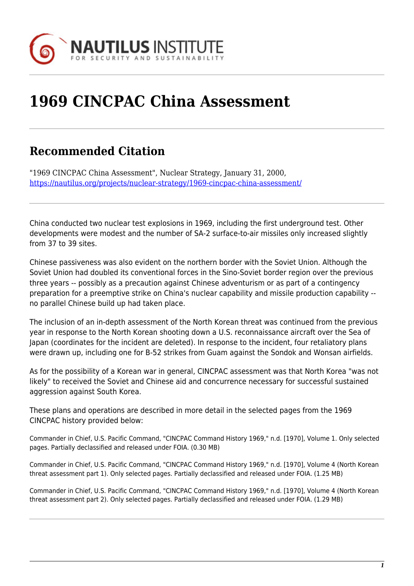

## **1969 CINCPAC China Assessment**

## **Recommended Citation**

"1969 CINCPAC China Assessment", Nuclear Strategy, January 31, 2000, <https://nautilus.org/projects/nuclear-strategy/1969-cincpac-china-assessment/>

China conducted two nuclear test explosions in 1969, including the first underground test. Other developments were modest and the number of SA-2 surface-to-air missiles only increased slightly from 37 to 39 sites.

Chinese passiveness was also evident on the northern border with the Soviet Union. Although the Soviet Union had doubled its conventional forces in the Sino-Soviet border region over the previous three years -- possibly as a precaution against Chinese adventurism or as part of a contingency preparation for a preemptive strike on China's nuclear capability and missile production capability - no parallel Chinese build up had taken place.

The inclusion of an in-depth assessment of the North Korean threat was continued from the previous year in response to the North Korean shooting down a U.S. reconnaissance aircraft over the Sea of Japan (coordinates for the incident are deleted). In response to the incident, four retaliatory plans were drawn up, including one for B-52 strikes from Guam against the Sondok and Wonsan airfields.

As for the possibility of a Korean war in general, CINCPAC assessment was that North Korea "was not likely" to received the Soviet and Chinese aid and concurrence necessary for successful sustained aggression against South Korea.

These plans and operations are described in more detail in the selected pages from the 1969 CINCPAC history provided below:

Commander in Chief, U.S. Pacific Command, "CINCPAC Command History 1969," n.d. [1970], Volume 1. Only selected pages. Partially declassified and released under FOIA. (0.30 MB)

Commander in Chief, U.S. Pacific Command, "CINCPAC Command History 1969," n.d. [1970], Volume 4 (North Korean threat assessment part 1). Only selected pages. Partially declassified and released under FOIA. (1.25 MB)

Commander in Chief, U.S. Pacific Command, "CINCPAC Command History 1969," n.d. [1970], Volume 4 (North Korean threat assessment part 2). Only selected pages. Partially declassified and released under FOIA. (1.29 MB)